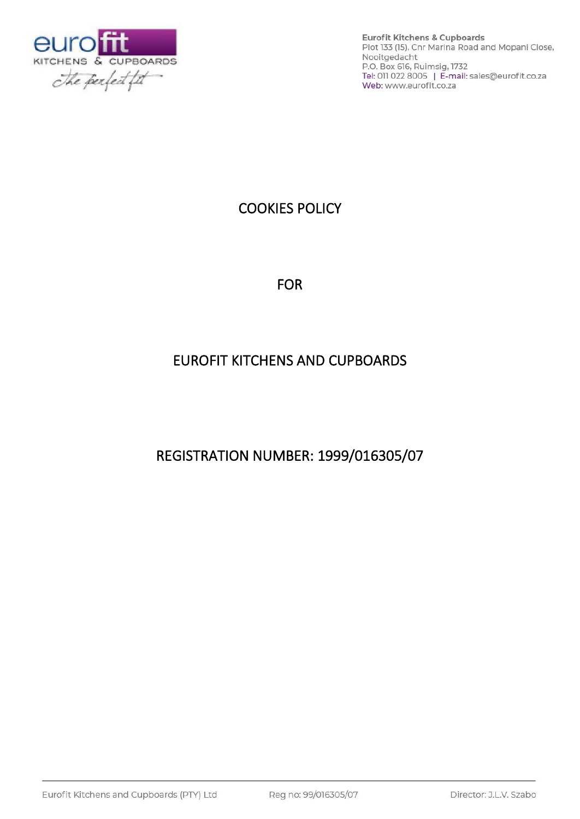

**Eurofit Kitchens & Cupboards** Plot 133 (15), Cnr Marina Road and Mopani Close, Nooitgedacht P.O. Box 616, Ruimsig, 1732<br>Tel: 011 022 8005 | E-mail: sales@eurofit.co.za Web: www.eurofit.co.za

# COOKIES POLICY

FOR

# EUROFIT KITCHENS AND CUPBOARDS

REGISTRATION NUMBER: 1999/016305/07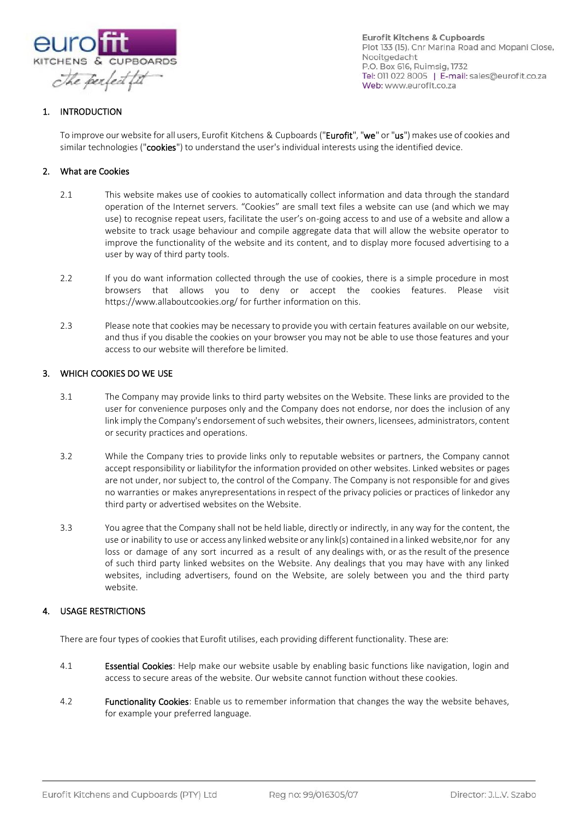

**Eurofit Kitchens & Cupboards** Plot 133 (15), Cnr Marina Road and Mopani Close, Nooitgedacht P.O. Box 616, Ruimsig, 1732 Tel: 011 022 8005 | E-mail: sales@eurofit.co.za Web: www.eurofit.co.za

## 1. INTRODUCTION

To improve our website for all users, Eurofit Kitchens & Cupboards ("Eurofit", "we" or "us") makes use of cookies and similar technologies ("cookies") to understand the user's individual interests using the identified device.

#### 2. What are Cookies

- 2.1 This website makes use of cookies to automatically collect information and data through the standard operation of the Internet servers. "Cookies" are small text files a website can use (and which we may use) to recognise repeat users, facilitate the user's on-going access to and use of a website and allow a website to track usage behaviour and compile aggregate data that will allow the website operator to improve the functionality of the website and its content, and to display more focused advertising to a user by way of third party tools.
- 2.2 If you do want information collected through the use of cookies, there is a simple procedure in most browsers that allows you to deny or accept the cookies features. Please visit https://www.allaboutcookies.org/ for further information on this.
- 2.3 Please note that cookies may be necessary to provide you with certain features available on our website, and thus if you disable the cookies on your browser you may not be able to use those features and your access to our website will therefore be limited.

#### 3. WHICH COOKIES DO WE USE

- 3.1 The Company may provide links to third party websites on the Website. These links are provided to the user for convenience purposes only and the Company does not endorse, nor does the inclusion of any link imply the Company's endorsement of such websites, their owners, licensees, administrators, content or security practices and operations.
- 3.2 While the Company tries to provide links only to reputable websites or partners, the Company cannot accept responsibility or liabilityfor the information provided on other websites. Linked websites or pages are not under, nor subject to, the control of the Company. The Company is not responsible for and gives no warranties or makes anyrepresentations in respect of the privacy policies or practices of linkedor any third party or advertised websites on the Website.
- 3.3 You agree that the Company shall not be held liable, directly or indirectly, in any way for the content, the use or inability to use or access any linked website or any link(s) contained in a linked website,nor for any loss or damage of any sort incurred as a result of any dealings with, or as the result of the presence of such third party linked websites on the Website. Any dealings that you may have with any linked websites, including advertisers, found on the Website, are solely between you and the third party website.

### 4. USAGE RESTRICTIONS

There are four types of cookies that Eurofit utilises, each providing different functionality. These are:

- 4.1 **Essential Cookies**: Help make our website usable by enabling basic functions like navigation, login and access to secure areas of the website. Our website cannot function without these cookies.
- 4.2 **Functionality Cookies:** Enable us to remember information that changes the way the website behaves, for example your preferred language.